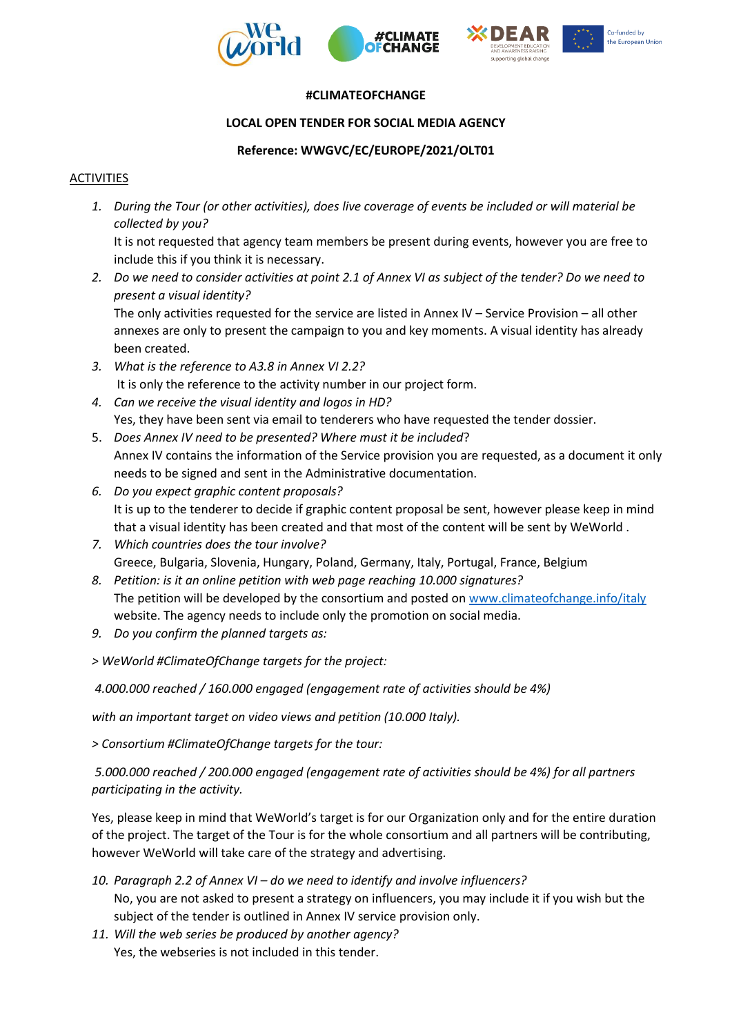





## **#CLIMATEOFCHANGE**

# **LOCAL OPEN TENDER FOR SOCIAL MEDIA AGENCY**

## **Reference: WWGVC/EC/EUROPE/2021/OLT01**

## ACTIVITIES

*1. During the Tour (or other activities), does live coverage of events be included or will material be collected by you?*

It is not requested that agency team members be present during events, however you are free to include this if you think it is necessary.

*2. Do we need to consider activities at point 2.1 of Annex VI as subject of the tender? Do we need to present a visual identity?* 

The only activities requested for the service are listed in Annex IV – Service Provision – all other annexes are only to present the campaign to you and key moments. A visual identity has already been created.

- *3. What is the reference to A3.8 in Annex VI 2.2?* It is only the reference to the activity number in our project form.
- *4. Can we receive the visual identity and logos in HD?* Yes, they have been sent via email to tenderers who have requested the tender dossier.
- 5. *Does Annex IV need to be presented? Where must it be included*? Annex IV contains the information of the Service provision you are requested, as a document it only needs to be signed and sent in the Administrative documentation.
- *6. Do you expect graphic content proposals?*  It is up to the tenderer to decide if graphic content proposal be sent, however please keep in mind that a visual identity has been created and that most of the content will be sent by WeWorld .
- *7. Which countries does the tour involve?*  Greece, Bulgaria, Slovenia, Hungary, Poland, Germany, Italy, Portugal, France, Belgium
- *8. Petition: is it an online petition with web page reaching 10.000 signatures?*  The petition will be developed by the consortium and posted o[n www.climateofchange.info/italy](http://www.climateofchange.info/italy) website. The agency needs to include only the promotion on social media.
- *9. Do you confirm the planned targets as:*
- *> WeWorld #ClimateOfChange targets for the project:*

*4.000.000 reached / 160.000 engaged (engagement rate of activities should be 4%)*

*with an important target on video views and petition (10.000 Italy).*

*> Consortium #ClimateOfChange targets for the tour:*

*5.000.000 reached / 200.000 engaged (engagement rate of activities should be 4%) for all partners participating in the activity.*

Yes, please keep in mind that WeWorld's target is for our Organization only and for the entire duration of the project. The target of the Tour is for the whole consortium and all partners will be contributing, however WeWorld will take care of the strategy and advertising.

- *10. Paragraph 2.2 of Annex VI – do we need to identify and involve influencers?*  No, you are not asked to present a strategy on influencers, you may include it if you wish but the subject of the tender is outlined in Annex IV service provision only.
- *11. Will the web series be produced by another agency?*  Yes, the webseries is not included in this tender.